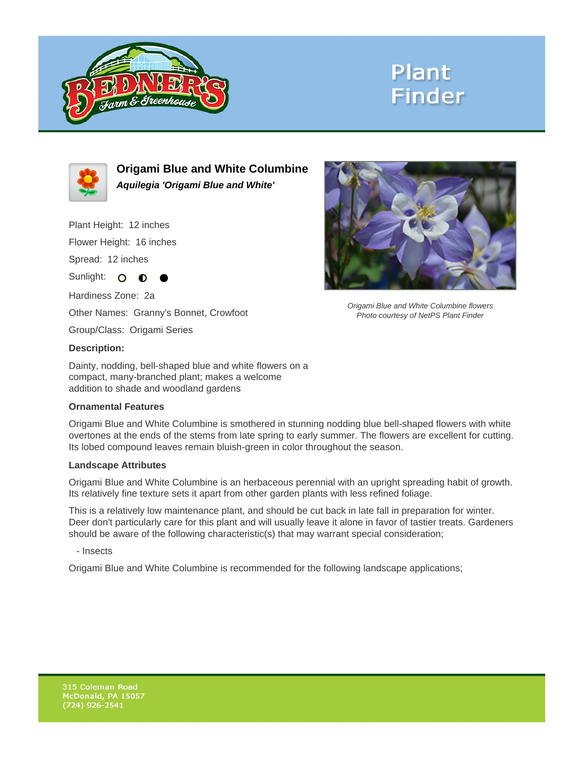

## **Plant Finder**



**Origami Blue and White Columbine Aquilegia 'Origami Blue and White'**

Plant Height: 12 inches

Flower Height: 16 inches

Spread: 12 inches

Sunlight: O **O** 

Hardiness Zone: 2a

Other Names: Granny's Bonnet, Crowfoot

Group/Class: Origami Series

#### **Description:**

Dainty, nodding, bell-shaped blue and white flowers on a compact, many-branched plant; makes a welcome addition to shade and woodland gardens

#### **Ornamental Features**

Origami Blue and White Columbine is smothered in stunning nodding blue bell-shaped flowers with white overtones at the ends of the stems from late spring to early summer. The flowers are excellent for cutting. Its lobed compound leaves remain bluish-green in color throughout the season.

#### **Landscape Attributes**

Origami Blue and White Columbine is an herbaceous perennial with an upright spreading habit of growth. Its relatively fine texture sets it apart from other garden plants with less refined foliage.

This is a relatively low maintenance plant, and should be cut back in late fall in preparation for winter. Deer don't particularly care for this plant and will usually leave it alone in favor of tastier treats. Gardeners should be aware of the following characteristic(s) that may warrant special consideration;

- Insects

Origami Blue and White Columbine is recommended for the following landscape applications;



Origami Blue and White Columbine flowers Photo courtesy of NetPS Plant Finder